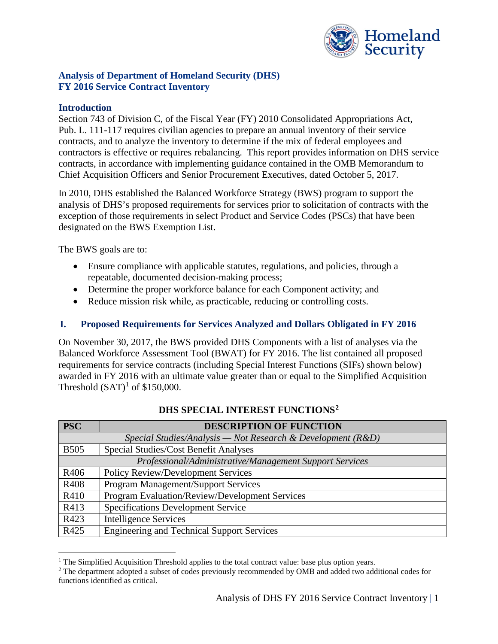

# **Analysis of Department of Homeland Security (DHS) FY 2016 Service Contract Inventory**

### **Introduction**

Section 743 of Division C, of the Fiscal Year (FY) 2010 Consolidated Appropriations Act, Pub. L. 111-117 requires civilian agencies to prepare an annual inventory of their service contracts, and to analyze the inventory to determine if the mix of federal employees and contractors is effective or requires rebalancing. This report provides information on DHS service contracts, in accordance with implementing guidance contained in the OMB Memorandum to Chief Acquisition Officers and Senior Procurement Executives, dated October 5, 2017.

In 2010, DHS established the Balanced Workforce Strategy (BWS) program to support the analysis of DHS's proposed requirements for services prior to solicitation of contracts with the exception of those requirements in select Product and Service Codes (PSCs) that have been designated on the BWS Exemption List.

The BWS goals are to:

 $\overline{a}$ 

- Ensure compliance with applicable statutes, regulations, and policies, through a repeatable, documented decision-making process;
- Determine the proper workforce balance for each Component activity; and
- Reduce mission risk while, as practicable, reducing or controlling costs.

# **I. Proposed Requirements for Services Analyzed and Dollars Obligated in FY 2016**

On November 30, 2017, the BWS provided DHS Components with a list of analyses via the Balanced Workforce Assessment Tool (BWAT) for FY 2016. The list contained all proposed requirements for service contracts (including Special Interest Functions (SIFs) shown below) awarded in FY 2016 with an ultimate value greater than or equal to the Simplified Acquisition Threshold  $(SAT)^1$  $(SAT)^1$  of \$150,000.

| <b>PSC</b>                                                    | <b>DESCRIPTION OF FUNCTION</b>                        |  |  |
|---------------------------------------------------------------|-------------------------------------------------------|--|--|
| Special Studies/Analysis — Not Research & Development $(R&D)$ |                                                       |  |  |
| <b>B505</b>                                                   | Special Studies/Cost Benefit Analyses                 |  |  |
| Professional/Administrative/Management Support Services       |                                                       |  |  |
| R406                                                          | <b>Policy Review/Development Services</b>             |  |  |
| R408                                                          | <b>Program Management/Support Services</b>            |  |  |
| R410                                                          | <b>Program Evaluation/Review/Development Services</b> |  |  |
| R413                                                          | <b>Specifications Development Service</b>             |  |  |
| R423                                                          | <b>Intelligence Services</b>                          |  |  |
| R425                                                          | <b>Engineering and Technical Support Services</b>     |  |  |

# **DHS SPECIAL INTEREST FUNCTIONS[2](#page-0-1)**

<span id="page-0-0"></span><sup>&</sup>lt;sup>1</sup> The Simplified Acquisition Threshold applies to the total contract value: base plus option years. <sup>2</sup> The department adopted a subset of codes previously recommended by OMB and added two additional codes for

<span id="page-0-1"></span>functions identified as critical.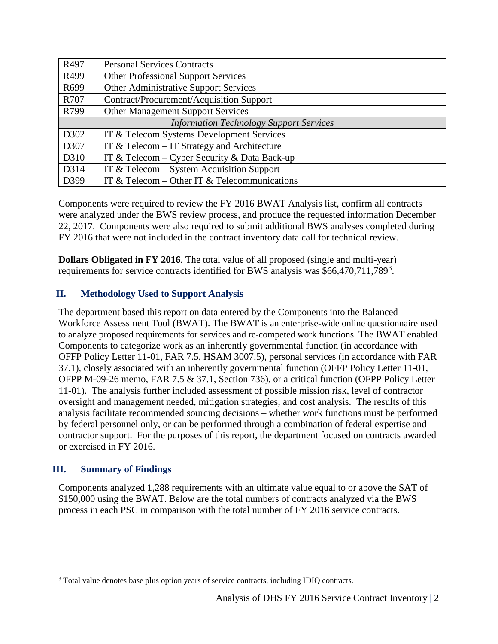| R497                                           | <b>Personal Services Contracts</b>            |  |  |
|------------------------------------------------|-----------------------------------------------|--|--|
| R499                                           | <b>Other Professional Support Services</b>    |  |  |
| R699                                           | Other Administrative Support Services         |  |  |
| R707                                           | Contract/Procurement/Acquisition Support      |  |  |
| R799                                           | <b>Other Management Support Services</b>      |  |  |
| <b>Information Technology Support Services</b> |                                               |  |  |
| D302                                           | IT & Telecom Systems Development Services     |  |  |
| D307                                           | IT $&$ Telecom – IT Strategy and Architecture |  |  |
| D310                                           | IT & Telecom – Cyber Security & Data Back-up  |  |  |
| D314                                           | IT & Telecom $-$ System Acquisition Support   |  |  |
| D399                                           | IT & Telecom – Other IT & Telecommunications  |  |  |

Components were required to review the FY 2016 BWAT Analysis list, confirm all contracts were analyzed under the BWS review process, and produce the requested information December 22, 2017. Components were also required to submit additional BWS analyses completed during FY 2016 that were not included in the contract inventory data call for technical review.

**Dollars Obligated in FY 2016**. The total value of all proposed (single and multi-year) requirements for service contracts identified for BWS analysis was \$66,470,711,789<sup>[3](#page-1-0)</sup>.

# **II. Methodology Used to Support Analysis**

The department based this report on data entered by the Components into the Balanced Workforce Assessment Tool (BWAT). The BWAT is an enterprise-wide online questionnaire used to analyze proposed requirements for services and re-competed work functions. The BWAT enabled Components to categorize work as an inherently governmental function (in accordance with OFFP Policy Letter 11-01, FAR 7.5, HSAM 3007.5), personal services (in accordance with FAR 37.1), closely associated with an inherently governmental function (OFFP Policy Letter 11-01, OFPP M-09-26 memo, FAR 7.5 & 37.1, Section 736), or a critical function (OFPP Policy Letter 11-01). The analysis further included assessment of possible mission risk, level of contractor oversight and management needed, mitigation strategies, and cost analysis. The results of this analysis facilitate recommended sourcing decisions – whether work functions must be performed by federal personnel only, or can be performed through a combination of federal expertise and contractor support. For the purposes of this report, the department focused on contracts awarded or exercised in FY 2016.

# **III. Summary of Findings**

 \$150,000 using the BWAT. Below are the total numbers of contracts analyzed via the BWS Components analyzed 1,288 requirements with an ultimate value equal to or above the SAT of process in each PSC in comparison with the total number of FY 2016 service contracts.

<span id="page-1-0"></span><sup>&</sup>lt;u>.</u> <sup>3</sup> Total value denotes base plus option years of service contracts, including IDIQ contracts.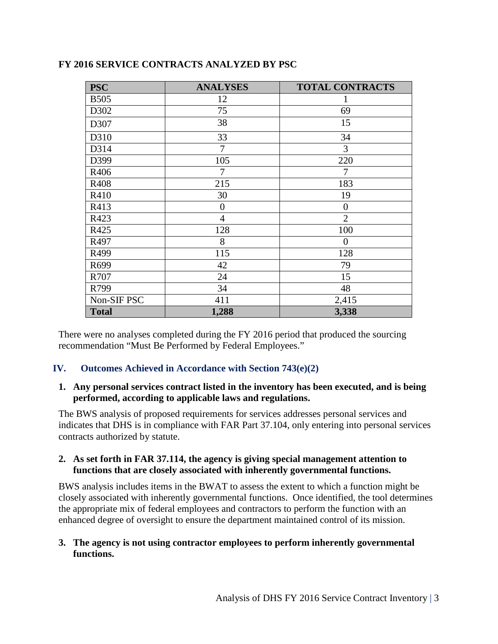| <b>PSC</b>   | <b>ANALYSES</b> | <b>TOTAL CONTRACTS</b> |
|--------------|-----------------|------------------------|
| <b>B505</b>  | 12              |                        |
| D302         | 75              | 69                     |
| D307         | 38              | 15                     |
| D310         | 33              | 34                     |
| D314         | $\tau$          | 3                      |
| D399         | 105             | 220                    |
| R406         | $\overline{7}$  | 7                      |
| R408         | 215             | 183                    |
| R410         | 30              | 19                     |
| R413         | $\overline{0}$  | $\overline{0}$         |
| R423         | $\overline{4}$  | $\overline{2}$         |
| R425         | 128             | 100                    |
| R497         | 8               | $\overline{0}$         |
| R499         | 115             | 128                    |
| R699         | 42              | 79                     |
| R707         | 24              | 15                     |
| R799         | 34              | 48                     |
| Non-SIF PSC  | 411             | 2,415                  |
| <b>Total</b> | 1,288           | 3,338                  |

# **FY 2016 SERVICE CONTRACTS ANALYZED BY PSC**

 There were no analyses completed during the FY 2016 period that produced the sourcing recommendation "Must Be Performed by Federal Employees."

# **IV. Outcomes Achieved in Accordance with Section 743(e)(2)**

#### **1. Any personal services contract listed in the inventory has been executed, and is being performed, according to applicable laws and regulations.**

 The BWS analysis of proposed requirements for services addresses personal services and indicates that DHS is in compliance with FAR Part 37.104, only entering into personal services contracts authorized by statute.

#### **2. As set forth in FAR 37.114, the agency is giving special management attention to functions that are closely associated with inherently governmental functions.**

 enhanced degree of oversight to ensure the department maintained control of its mission. BWS analysis includes items in the BWAT to assess the extent to which a function might be closely associated with inherently governmental functions. Once identified, the tool determines the appropriate mix of federal employees and contractors to perform the function with an

### **3. The agency is not using contractor employees to perform inherently governmental functions.**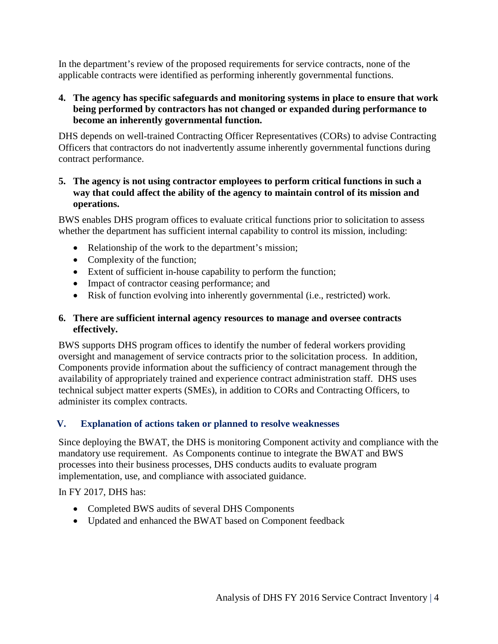applicable contracts were identified as performing inherently governmental functions. In the department's review of the proposed requirements for service contracts, none of the

# **4. The agency has specific safeguards and monitoring systems in place to ensure that work being performed by contractors has not changed or expanded during performance to become an inherently governmental function.**

 DHS depends on well-trained Contracting Officer Representatives (CORs) to advise Contracting contract performance. Officers that contractors do not inadvertently assume inherently governmental functions during

# **5. The agency is not using contractor employees to perform critical functions in such a way that could affect the ability of the agency to maintain control of its mission and operations.**

 BWS enables DHS program offices to evaluate critical functions prior to solicitation to assess whether the department has sufficient internal capability to control its mission, including:

- Relationship of the work to the department's mission;
- Complexity of the function;
- Extent of sufficient in-house capability to perform the function;
- Impact of contractor ceasing performance; and
- Risk of function evolving into inherently governmental (i.e., restricted) work.

# **6. There are sufficient internal agency resources to manage and oversee contracts effectively.**

 Components provide information about the sufficiency of contract management through the BWS supports DHS program offices to identify the number of federal workers providing oversight and management of service contracts prior to the solicitation process. In addition, availability of appropriately trained and experience contract administration staff. DHS uses technical subject matter experts (SMEs), in addition to CORs and Contracting Officers, to administer its complex contracts.

# **V. Explanation of actions taken or planned to resolve weaknesses**

Since deploying the BWAT, the DHS is monitoring Component activity and compliance with the mandatory use requirement. As Components continue to integrate the BWAT and BWS processes into their business processes, DHS conducts audits to evaluate program implementation, use, and compliance with associated guidance.

In FY 2017, DHS has:

- Completed BWS audits of several DHS Components
- Updated and enhanced the BWAT based on Component feedback